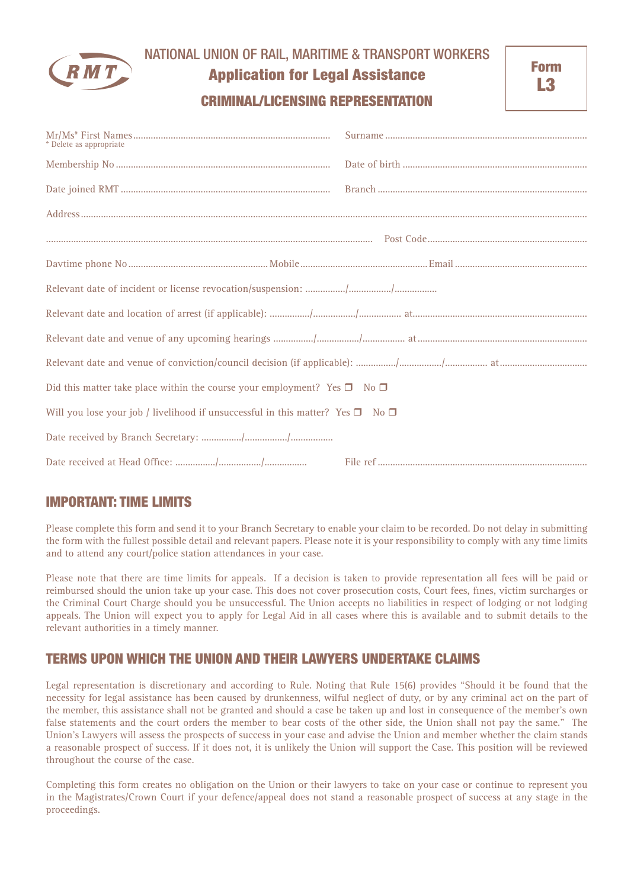

## NATIONAL UNION OF RAIL, MARITIME & TRANSPORT WORKERS

# Application for Legal Assistance

## CRIMINAL/LICENSING REPRESENTATION

| * Delete as appropriate                                                                        |  |
|------------------------------------------------------------------------------------------------|--|
|                                                                                                |  |
|                                                                                                |  |
|                                                                                                |  |
|                                                                                                |  |
|                                                                                                |  |
|                                                                                                |  |
|                                                                                                |  |
|                                                                                                |  |
|                                                                                                |  |
| Did this matter take place within the course your employment? Yes $\square$ No $\square$       |  |
| Will you lose your job / livelihood if unsuccessful in this matter? Yes $\square$ No $\square$ |  |
|                                                                                                |  |
|                                                                                                |  |

# IMPORTANT: TIME LIMITS

Please complete this form and send it to your Branch Secretary to enable your claim to be recorded. Do not delay in submitting the form with the fullest possible detail and relevant papers. Please note it is your responsibility to comply with any time limits and to attend any court/police station attendances in your case.

Please note that there are time limits for appeals. If a decision is taken to provide representation all fees will be paid or reimbursed should the union take up your case. This does not cover prosecution costs, Court fees, fines, victim surcharges or the Criminal Court Charge should you be unsuccessful. The Union accepts no liabilities in respect of lodging or not lodging appeals. The Union will expect you to apply for Legal Aid in all cases where this is available and to submit details to the relevant authorities in a timely manner.

# TERMS UPON WHICH THE UNION AND THEIR LAWYERS UNDERTAKE CLAIMS

Legal representation is discretionary and according to Rule. Noting that Rule 15(6) provides "Should it be found that the necessity for legal assistance has been caused by drunkenness, wilful neglect of duty, or by any criminal act on the part of the member, this assistance shall not be granted and should a case be taken up and lost in consequence of the member's own false statements and the court orders the member to bear costs of the other side, the Union shall not pay the same." The Union's Lawyers will assess the prospects of success in your case and advise the Union and member whether the claim stands a reasonable prospect of success. If it does not, it is unlikely the Union will support the Case. This position will be reviewed throughout the course of the case.

Completing this form creates no obligation on the Union or their lawyers to take on your case or continue to represent you in the Magistrates/Crown Court if your defence/appeal does not stand a reasonable prospect of success at any stage in the proceedings.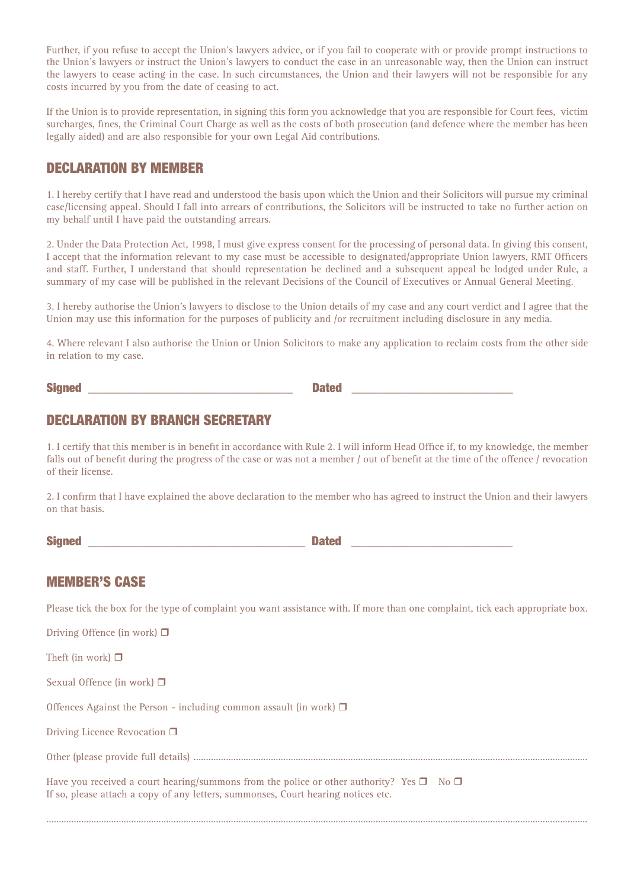Further, if you refuse to accept the Union's lawyers advice, or if you fail to cooperate with or provide prompt instructions to the Union's lawyers or instruct the Union's lawyers to conduct the case in an unreasonable way, then the Union can instruct the lawyers to cease acting in the case. In such circumstances, the Union and their lawyers will not be responsible for any costs incurred by you from the date of ceasing to act.

If the Union is to provide representation, in signing this form you acknowledge that you are responsible for Court fees, victim surcharges, fines, the Criminal Court Charge as well as the costs of both prosecution (and defence where the member has been legally aided) and are also responsible for your own Legal Aid contributions.

### DECLARATION BY MEMBER

1. I hereby certify that I have read and understood the basis upon which the Union and their Solicitors will pursue my criminal case/licensing appeal. Should I fall into arrears of contributions, the Solicitors will be instructed to take no further action on my behalf until I have paid the outstanding arrears.

2. Under the Data Protection Act, 1998, I must give express consent for the processing of personal data. In giving this consent, I accept that the information relevant to my case must be accessible to designated/appropriate Union lawyers, RMT Officers and staff. Further, I understand that should representation be declined and a subsequent appeal be lodged under Rule, a summary of my case will be published in the relevant Decisions of the Council of Executives or Annual General Meeting.

3. I hereby authorise the Union's lawyers to disclose to the Union details of my case and any court verdict and I agree that the Union may use this information for the purposes of publicity and /or recruitment including disclosure in any media.

4. Where relevant I also authorise the Union or Union Solicitors to make any application to reclaim costs from the other side in relation to my case.

| <b>Signed</b> |  | المستقيمات |  |
|---------------|--|------------|--|
|---------------|--|------------|--|

# DECLARATION BY BRANCH SECRETARY

1. I certify that this member is in benefit in accordance with Rule 2. I will inform Head Office if, to my knowledge, the member falls out of benefit during the progress of the case or was not a member / out of benefit at the time of the offence / revocation of their license.

2. I confirm that I have explained the above declaration to the member who has agreed to instruct the Union and their lawyers on that basis.

| <b>Signed</b><br>المصالحات |  |
|----------------------------|--|
|----------------------------|--|

### MEMBER'S CASE

Please tick the box for the type of complaint you want assistance with. If more than one complaint, tick each appropriate box.

Driving Offence (in work)  $\Box$ 

Theft (in work)  $\Box$ 

Sexual Offence (in work)  $\Box$ 

Offences Against the Person - including common assault (in work)  $\Box$ 

Driving Licence Revocation  $\Box$ 

Other (please provide full details) ..............................................................................................................................................................

.........................................................................................................................................................................................................................

Have you received a court hearing/summons from the police or other authority? Yes  $\Box$  No  $\Box$ If so, please attach a copy of any letters, summonses, Court hearing notices etc.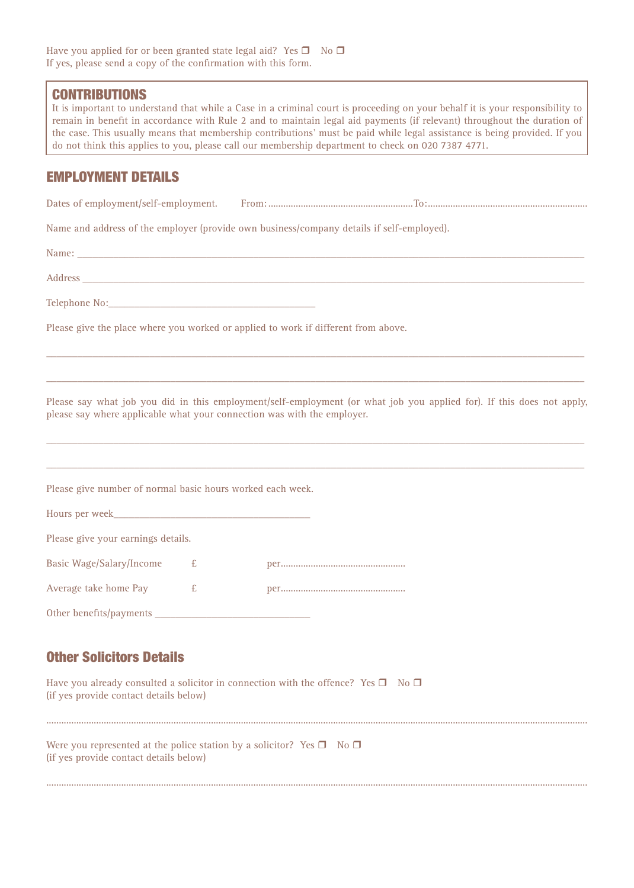#### **CONTRIBUTIONS**

It is important to understand that while a Case in a criminal court is proceeding on your behalf it is your responsibility to remain in benefit in accordance with Rule 2 and to maintain legal aid payments (if relevant) throughout the duration of the case. This usually means that membership contributions' must be paid while legal assistance is being provided. If you do not think this applies to you, please call our membership department to check on 020 7387 4771.

### EMPLOYMENT DETAILS

Dates of employment/self-employment. From: ..........................................................To:................................................................

Name and address of the employer (provide own business/company details if self-employed).

Name: \_\_\_\_\_\_\_\_\_\_\_\_\_\_\_\_\_\_\_\_\_\_\_\_\_\_\_\_\_\_\_\_\_\_\_\_\_\_\_\_\_\_\_\_\_\_\_\_\_\_\_\_\_\_\_\_\_\_\_\_\_\_\_\_\_\_\_\_\_\_\_\_\_\_\_\_\_\_\_\_\_\_\_\_\_\_\_\_\_\_\_\_\_\_\_\_\_\_

Address \_\_\_\_\_\_\_\_\_\_\_\_\_\_\_\_\_\_\_\_\_\_\_\_\_\_\_\_\_\_\_\_\_\_\_\_\_\_\_\_\_\_\_\_\_\_\_\_\_\_\_\_\_\_\_\_\_\_\_\_\_\_\_\_\_\_\_\_\_\_\_\_\_\_\_\_\_\_\_\_\_\_\_\_\_\_\_\_\_\_\_\_\_\_\_\_\_

Telephone No:

Please give the place where you worked or applied to work if different from above.

Please say what job you did in this employment/self-employment (or what job you applied for). If this does not apply, please say where applicable what your connection was with the employer.

\_\_\_\_\_\_\_\_\_\_\_\_\_\_\_\_\_\_\_\_\_\_\_\_\_\_\_\_\_\_\_\_\_\_\_\_\_\_\_\_\_\_\_\_\_\_\_\_\_\_\_\_\_\_\_\_\_\_\_\_\_\_\_\_\_\_\_\_\_\_\_\_\_\_\_\_\_\_\_\_\_\_\_\_\_\_\_\_\_\_\_\_\_\_\_\_\_\_\_\_\_\_\_\_

\_\_\_\_\_\_\_\_\_\_\_\_\_\_\_\_\_\_\_\_\_\_\_\_\_\_\_\_\_\_\_\_\_\_\_\_\_\_\_\_\_\_\_\_\_\_\_\_\_\_\_\_\_\_\_\_\_\_\_\_\_\_\_\_\_\_\_\_\_\_\_\_\_\_\_\_\_\_\_\_\_\_\_\_\_\_\_\_\_\_\_\_\_\_\_\_\_\_\_\_\_\_\_\_

\_\_\_\_\_\_\_\_\_\_\_\_\_\_\_\_\_\_\_\_\_\_\_\_\_\_\_\_\_\_\_\_\_\_\_\_\_\_\_\_\_\_\_\_\_\_\_\_\_\_\_\_\_\_\_\_\_\_\_\_\_\_\_\_\_\_\_\_\_\_\_\_\_\_\_\_\_\_\_\_\_\_\_\_\_\_\_\_\_\_\_\_\_\_\_\_\_\_\_\_\_\_\_\_

\_\_\_\_\_\_\_\_\_\_\_\_\_\_\_\_\_\_\_\_\_\_\_\_\_\_\_\_\_\_\_\_\_\_\_\_\_\_\_\_\_\_\_\_\_\_\_\_\_\_\_\_\_\_\_\_\_\_\_\_\_\_\_\_\_\_\_\_\_\_\_\_\_\_\_\_\_\_\_\_\_\_\_\_\_\_\_\_\_\_\_\_\_\_\_\_\_\_\_\_\_\_\_\_

Please give number of normal basic hours worked each week.

| Hours per week_____                |   |  |
|------------------------------------|---|--|
| Please give your earnings details. |   |  |
| <b>Basic Wage/Salary/Income</b>    | £ |  |
| Average take home Pay              | £ |  |
|                                    |   |  |

## Other Solicitors Details

Have you already consulted a solicitor in connection with the offence? Yes  $\Box$  No  $\Box$ (if yes provide contact details below)

| Were you represented at the police station by a solicitor? Yes $\square$ No $\square$<br>(if yes provide contact details below) |  |  |
|---------------------------------------------------------------------------------------------------------------------------------|--|--|

.........................................................................................................................................................................................................................